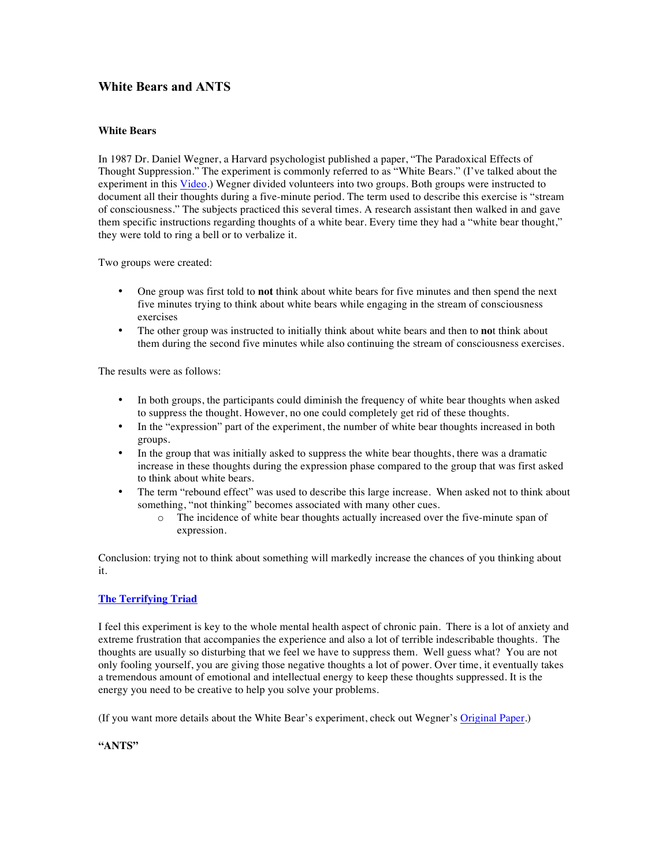# **White Bears and ANTS**

### **White Bears**

In 1987 Dr. Daniel Wegner, a Harvard psychologist published a paper, "The Paradoxical Effects of Thought Suppression." The experiment is commonly referred to as "White Bears." (I've talked about the experiment in this Video.) Wegner divided volunteers into two groups. Both groups were instructed to document all their thoughts during a five-minute period. The term used to describe this exercise is "stream of consciousness." The subjects practiced this several times. A research assistant then walked in and gave them specific instructions regarding thoughts of a white bear. Every time they had a "white bear thought," they were told to ring a bell or to verbalize it.

Two groups were created:

- One group was first told to **not** think about white bears for five minutes and then spend the next five minutes trying to think about white bears while engaging in the stream of consciousness exercises
- The other group was instructed to initially think about white bears and then to **no**t think about them during the second five minutes while also continuing the stream of consciousness exercises.

The results were as follows:

- In both groups, the participants could diminish the frequency of white bear thoughts when asked to suppress the thought. However, no one could completely get rid of these thoughts.
- In the "expression" part of the experiment, the number of white bear thoughts increased in both groups.
- In the group that was initially asked to suppress the white bear thoughts, there was a dramatic increase in these thoughts during the expression phase compared to the group that was first asked to think about white bears.
- The term "rebound effect" was used to describe this large increase. When asked not to think about something, "not thinking" becomes associated with many other cues.
	- o The incidence of white bear thoughts actually increased over the five-minute span of expression.

Conclusion: trying not to think about something will markedly increase the chances of you thinking about it.

### **The Terrifying Triad**

I feel this experiment is key to the whole mental health aspect of chronic pain. There is a lot of anxiety and extreme frustration that accompanies the experience and also a lot of terrible indescribable thoughts. The thoughts are usually so disturbing that we feel we have to suppress them. Well guess what? You are not only fooling yourself, you are giving those negative thoughts a lot of power. Over time, it eventually takes a tremendous amount of emotional and intellectual energy to keep these thoughts suppressed. It is the energy you need to be creative to help you solve your problems.

(If you want more details about the White Bear's experiment, check out Wegner's Original Paper.)

### **"ANTS"**